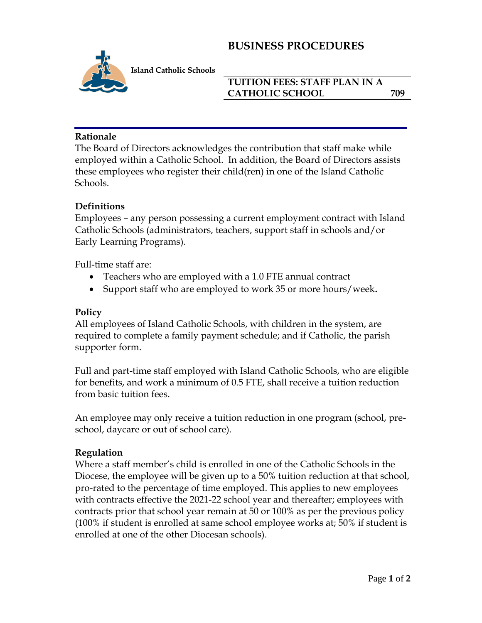# **BUSINESS PROCEDURES**



 **I Island Catholic Schools**

## **TUITION FEES: STAFF PLAN IN A CATHOLIC SCHOOL 709**

### **Rationale**

The Board of Directors acknowledges the contribution that staff make while employed within a Catholic School. In addition, the Board of Directors assists these employees who register their child(ren) in one of the Island Catholic Schools.

### **Definitions**

Employees – any person possessing a current employment contract with Island Catholic Schools (administrators, teachers, support staff in schools and/or Early Learning Programs).

Full-time staff are:

- Teachers who are employed with a 1.0 FTE annual contract
- Support staff who are employed to work 35 or more hours/week**.**

#### **Policy**

All employees of Island Catholic Schools, with children in the system, are required to complete a family payment schedule; and if Catholic, the parish supporter form.

Full and part-time staff employed with Island Catholic Schools, who are eligible for benefits, and work a minimum of 0.5 FTE, shall receive a tuition reduction from basic tuition fees.

An employee may only receive a tuition reduction in one program (school, preschool, daycare or out of school care).

## **Regulation**

Where a staff member's child is enrolled in one of the Catholic Schools in the Diocese, the employee will be given up to a 50% tuition reduction at that school, pro-rated to the percentage of time employed. This applies to new employees with contracts effective the 2021-22 school year and thereafter; employees with contracts prior that school year remain at 50 or 100% as per the previous policy (100% if student is enrolled at same school employee works at; 50% if student is enrolled at one of the other Diocesan schools).